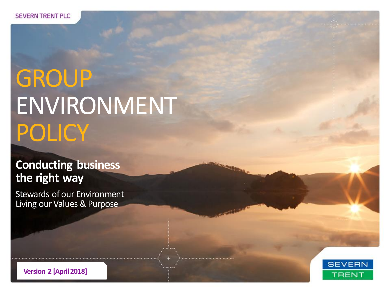# **GROUP** ENVIRONMENT **POLICY**

### **Conducting business the right way**

Stewards of our Environment Living our Values & Purpose



**Version 2 [April 2018]**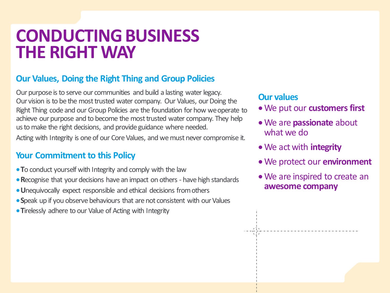### **CONDUCTING BUSINESS THE RIGHT WAY**

#### **Our Values, Doing the Right Thing and Group Policies**

Our purpose is to serve our communities and build a lasting water legacy. Our vision is to be the most trusted water company. Our Values, our Doing the Right Thing code and our Group Policies are the foundation for how we operate to achieve our purpose and to become the most trusted water company. They help us to make the right decisions, and provide guidance where needed.

Acting with Integrity is one of our Core Values, and we must never compromise it.

#### **Your Commitment to this Policy**

- **T**o conduct yourself with Integrity and comply with the law
- **R**ecognise that your decisions have an impact on others have high standards
- **U**nequivocally expect responsible and ethical decisions from others
- **S**peak up if you observe behaviours that are not consistent with our Values
- **Tirelessly adhere to our Value of Acting with Integrity**

#### **Our values**

- We put our **customers first**
- We are **passionate** about what we do
- We act with **integrity**
- We protect our **environment**
- We are inspired to create an **awesome company**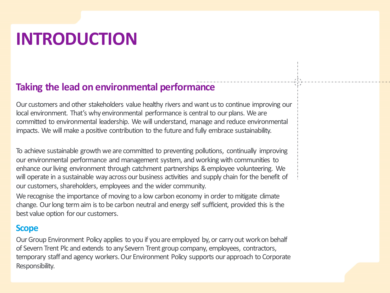# **INTRODUCTION**

### **Taking the lead on environmental performance**

Our customers and other stakeholders value healthy rivers and want us to continue improving our local environment. That's why environmental performance is central to our plans. We are committed to environmental leadership. We will understand, manage and reduce environmental impacts. We will make a positive contribution to the future and fully embrace sustainability.

To achieve sustainable growth we are committed to preventing pollutions, continually improving our environmental performance and management system, and working with communities to enhance our living environment through catchment partnerships & employee volunteering. We will operate in a sustainable way across our business activities and supply chain for the benefit of our customers, shareholders, employees and the wider community.

We recognise the importance of moving to a low carbon economy in order to mitigate climate change. Our long term aim is to be carbon neutral and energy self sufficient, provided this is the best value option for our customers.

#### **Scope**

Our Group Environment Policy applies to you if you are employed by, or carry out work on behalf of Severn Trent Plc and extends to any Severn Trent group company, employees, contractors, temporary staff and agency workers. Our Environment Policy supports our approach to Corporate Responsibility.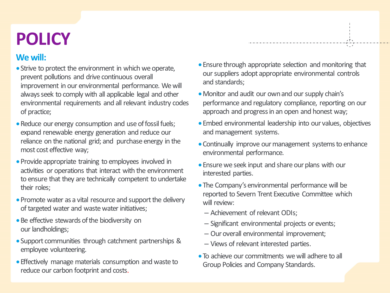# **POLICY**

#### **We will:**

- Strive to protect the environment in which we operate, prevent pollutions and drive continuous overall improvement in our environmental performance. We will always seek to comply with all applicable legal and other environmental requirements and all relevant industry codes of practice;
- Reduce our energy consumption and use of fossil fuels; expand renewable energy generation and reduce our reliance on the national grid; and purchase energy in the most cost effective way;
- Provide appropriate training to employees involved in activities or operations that interact with the environment to ensure that they are technically competent to undertake their roles;
- Promote water as a vital resource and support the delivery of targeted water and waste water initiatives;
- Be effective stewards of the biodiversity on our landholdings;
- Support communities through catchment partnerships & employee volunteering.
- Effectively manage materials consumption and waste to reduce our carbon footprint and costs.

Ensure through appropriate selection and monitoring that our suppliers adopt appropriate environmental controls and standards;

- Monitor and audit our own and our supply chain's performance and regulatory compliance, reporting on our approach and progress in an open and honest way;
- Embed environmental leadership into our values, objectives and management systems.
- Continually improve our management systems to enhance environmental performance.
- Ensure we seek input and share our plans with our interested parties.
- The Company's environmental performance will be reported to Severn Trent Executive Committee which will review:
	- Achievement of relevant ODIs;
	- Significant environmental projects or events;
	- Our overall environmental improvement;
	- Views of relevant interested parties.
- To achieve our commitments we will adhere to all Group Policies and Company Standards.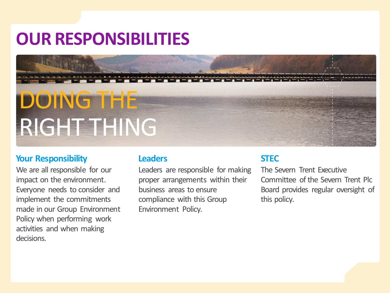## **OUR RESPONSIBILITIES**

# DOING THE RIGHT THING

#### **Your Responsibility**

We are all responsible for our impact on the environment. Everyone needs to consider and implement the commitments made in our Group Environment Policy when performing work activities and when making decisions.

#### **Leaders**

Leaders are responsible for making proper arrangements within their business areas to ensure compliance with this Group Environment Policy.

#### **STEC**

The Severn Trent Executive Committee of the Severn Trent Plc Board provides regular oversight of this policy.